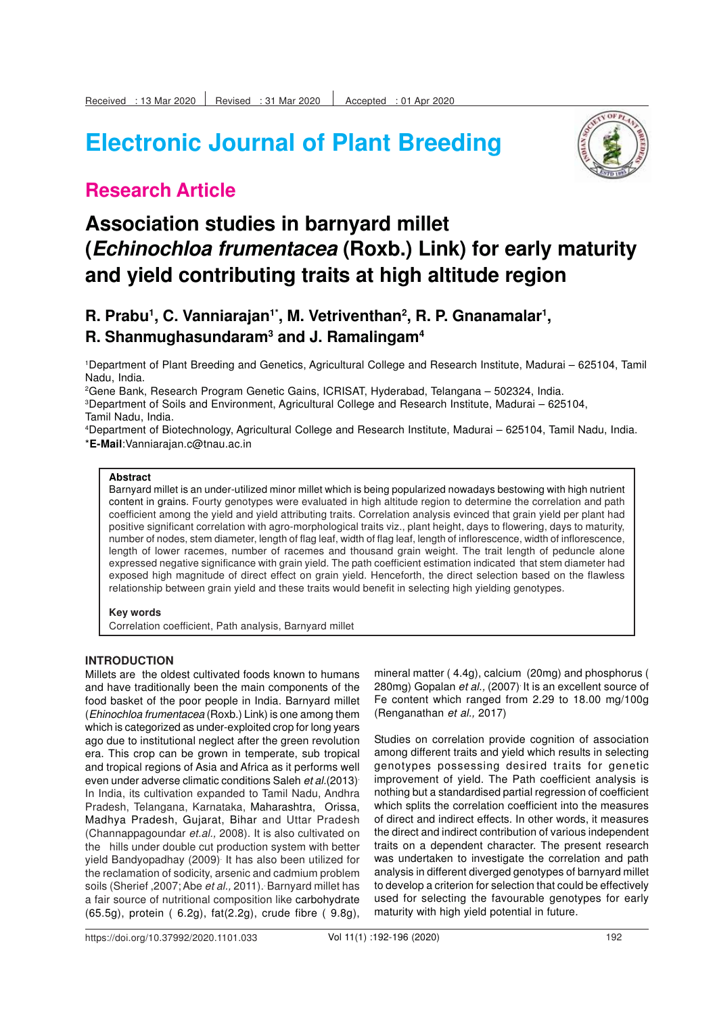# **Electronic Journal of Plant Breeding**



### **Research Article**

### **Association studies in barnyard millet (Echinochloa frumentacea (Roxb.) Link) for early maturity and yield contributing traits at high altitude region**

### **R. Prabu<sup>1</sup> , C. Vanniarajan1\*, M. Vetriventhan<sup>2</sup> , R. P. Gnanamalar<sup>1</sup> , R. Shanmughasundaram<sup>3</sup> and J. Ramalingam<sup>4</sup>**

<sup>1</sup>Department of Plant Breeding and Genetics, Agricultural College and Research Institute, Madurai – 625104, Tamil Nadu, India.

<sup>2</sup>Gene Bank, Research Program Genetic Gains, ICRISAT, Hyderabad, Telangana – 502324, India. <sup>3</sup>Department of Soils and Environment, Agricultural College and Research Institute, Madurai – 625104, Tamil Nadu, India.

<sup>4</sup>Department of Biotechnology, Agricultural College and Research Institute, Madurai – 625104, Tamil Nadu, India. \***E-Mail**:Vanniarajan.c@tnau.ac.in

#### **Abstract**

Barnyard millet is an under-utilized minor millet which is being popularized nowadays bestowing with high nutrient content in grains. Fourty genotypes were evaluated in high altitude region to determine the correlation and path coefficient among the yield and yield attributing traits. Correlation analysis evinced that grain yield per plant had positive significant correlation with agro-morphological traits viz., plant height, days to flowering, days to maturity, number of nodes, stem diameter, length of flag leaf, width of flag leaf, length of inflorescence, width of inflorescence, length of lower racemes, number of racemes and thousand grain weight. The trait length of peduncle alone expressed negative significance with grain yield. The path coefficient estimation indicated that stem diameter had exposed high magnitude of direct effect on grain yield. Henceforth, the direct selection based on the flawless relationship between grain yield and these traits would benefit in selecting high yielding genotypes.

#### **Key words**

Correlation coefficient, Path analysis, Barnyard millet

#### **INTRODUCTION**

Millets are the oldest cultivated foods known to humans and have traditionally been the main components of the food basket of the poor people in India. Barnyard millet (Ehinochloa frumentacea (Roxb.) Link) is one among them which is categorized as under-exploited crop for long years ago due to institutional neglect after the green revolution era. This crop can be grown in temperate, sub tropical and tropical regions of Asia and Africa as it performs well even under adverse climatic conditions Saleh et al.(2013). In India, its cultivation expanded to Tamil Nadu, Andhra Pradesh, Telangana, Karnataka, Maharashtra, Orissa, Madhya Pradesh, Gujarat, Bihar and Uttar Pradesh (Channappagoundar et.al., 2008). It is also cultivated on the hills under double cut production system with better yield Bandyopadhay (2009). It has also been utilized for the reclamation of sodicity, arsenic and cadmium problem soils (Sherief, 2007; Abe et al., 2011). Barnyard millet has a fair source of nutritional composition like carbohydrate (65.5g), protein ( 6.2g), fat(2.2g), crude fibre ( 9.8g),

mineral matter ( 4.4g), calcium (20mg) and phosphorus ( 280mg) Gopalan et al., (2007) It is an excellent source of Fe content which ranged from 2.29 to 18.00 mg/100g (Renganathan et al., 2017)

Studies on correlation provide cognition of association among different traits and yield which results in selecting genotypes possessing desired traits for genetic improvement of yield. The Path coefficient analysis is nothing but a standardised partial regression of coefficient which splits the correlation coefficient into the measures of direct and indirect effects. In other words, it measures the direct and indirect contribution of various independent traits on a dependent character. The present research was undertaken to investigate the correlation and path analysis in different diverged genotypes of barnyard millet to develop a criterion for selection that could be effectively used for selecting the favourable genotypes for early maturity with high yield potential in future.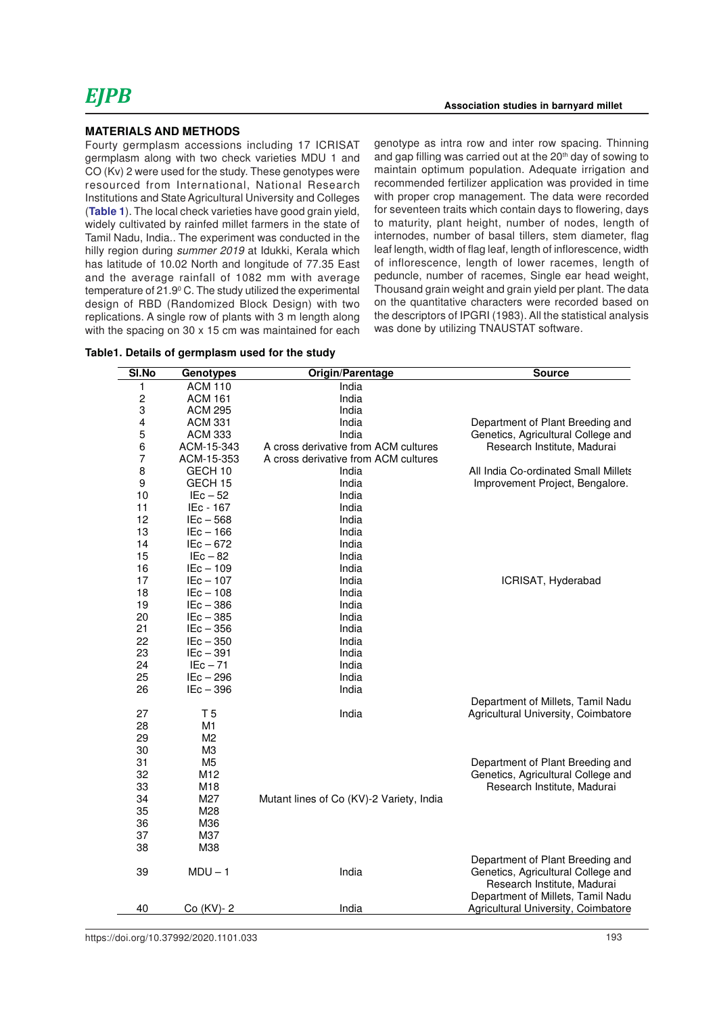Fourty germplasm accessions including 17 ICRISAT germplasm along with two check varieties MDU 1 and CO (Kv) 2 were used for the study. These genotypes were resourced from International, National Research Institutions and State Agricultural University and Colleges (**Table 1**). The local check varieties have good grain yield, widely cultivated by rainfed millet farmers in the state of Tamil Nadu, India.. The experiment was conducted in the hilly region during summer 2019 at Idukki, Kerala which has latitude of 10.02 North and longitude of 77.35 East and the average rainfall of 1082 mm with average temperature of 21.9<sup>0</sup> C. The study utilized the experimental design of RBD (Randomized Block Design) with two replications. A single row of plants with 3 m length along with the spacing on 30 x 15 cm was maintained for each

|  |  | Table1. Details of germplasm used for the study |  |  |
|--|--|-------------------------------------------------|--|--|
|--|--|-------------------------------------------------|--|--|

genotype as intra row and inter row spacing. Thinning and gap filling was carried out at the 20<sup>th</sup> day of sowing to maintain optimum population. Adequate irrigation and recommended fertilizer application was provided in time with proper crop management. The data were recorded for seventeen traits which contain days to flowering, days to maturity, plant height, number of nodes, length of internodes, number of basal tillers, stem diameter, flag leaf length, width of flag leaf, length of inflorescence, width of inflorescence, length of lower racemes, length of peduncle, number of racemes, Single ear head weight, Thousand grain weight and grain yield per plant. The data on the quantitative characters were recorded based on the descriptors of IPGRI (1983). All the statistical analysis was done by utilizing TNAUSTAT software.

| SI.No | <b>Genotypes</b> | Origin/Parentage                         | <b>Source</b>                        |  |  |  |  |  |
|-------|------------------|------------------------------------------|--------------------------------------|--|--|--|--|--|
| 1     | <b>ACM 110</b>   | India                                    |                                      |  |  |  |  |  |
| 2     | <b>ACM 161</b>   | India                                    |                                      |  |  |  |  |  |
| 3     | <b>ACM 295</b>   | India                                    |                                      |  |  |  |  |  |
| 4     | <b>ACM 331</b>   | India                                    | Department of Plant Breeding and     |  |  |  |  |  |
| 5     | <b>ACM 333</b>   | India                                    | Genetics, Agricultural College and   |  |  |  |  |  |
| 6     | ACM-15-343       | A cross derivative from ACM cultures     | Research Institute, Madurai          |  |  |  |  |  |
| 7     | ACM-15-353       | A cross derivative from ACM cultures     |                                      |  |  |  |  |  |
| 8     | GECH 10          | India                                    | All India Co-ordinated Small Millets |  |  |  |  |  |
| 9     | GECH 15          | India                                    | Improvement Project, Bengalore.      |  |  |  |  |  |
| 10    | $IEc - 52$       | India                                    |                                      |  |  |  |  |  |
| 11    | IEc - 167        | India                                    |                                      |  |  |  |  |  |
| 12    | $IEc - 568$      | India                                    |                                      |  |  |  |  |  |
| 13    | $IEc - 166$      | India                                    |                                      |  |  |  |  |  |
| 14    | $IEc - 672$      | India                                    |                                      |  |  |  |  |  |
| 15    | $IEc - 82$       | India                                    |                                      |  |  |  |  |  |
| 16    | $IEc - 109$      | India                                    |                                      |  |  |  |  |  |
| 17    | $IEc - 107$      | India                                    | ICRISAT, Hyderabad                   |  |  |  |  |  |
| 18    | $IEc - 108$      | India                                    |                                      |  |  |  |  |  |
| 19    | $IEc - 386$      | India                                    |                                      |  |  |  |  |  |
| 20    | $IEc - 385$      | India                                    |                                      |  |  |  |  |  |
| 21    | $IEc - 356$      | India                                    |                                      |  |  |  |  |  |
| 22    | $IEc - 350$      | India                                    |                                      |  |  |  |  |  |
| 23    | $IEc - 391$      | India                                    |                                      |  |  |  |  |  |
| 24    | $IEc - 71$       | India                                    |                                      |  |  |  |  |  |
| 25    | $IEc - 296$      | India                                    |                                      |  |  |  |  |  |
| 26    | $IEc - 396$      | India                                    |                                      |  |  |  |  |  |
|       |                  |                                          | Department of Millets, Tamil Nadu    |  |  |  |  |  |
| 27    | T <sub>5</sub>   | India                                    | Agricultural University, Coimbatore  |  |  |  |  |  |
| 28    | M1               |                                          |                                      |  |  |  |  |  |
| 29    | M <sub>2</sub>   |                                          |                                      |  |  |  |  |  |
| 30    | M <sub>3</sub>   |                                          |                                      |  |  |  |  |  |
| 31    | M <sub>5</sub>   |                                          | Department of Plant Breeding and     |  |  |  |  |  |
| 32    | M12              |                                          | Genetics, Agricultural College and   |  |  |  |  |  |
| 33    | M18              |                                          | Research Institute, Madurai          |  |  |  |  |  |
| 34    | M27              | Mutant lines of Co (KV)-2 Variety, India |                                      |  |  |  |  |  |
| 35    | M28              |                                          |                                      |  |  |  |  |  |
| 36    | M36              |                                          |                                      |  |  |  |  |  |
| 37    | M37              |                                          |                                      |  |  |  |  |  |
| 38    | M38              |                                          |                                      |  |  |  |  |  |
|       |                  |                                          | Department of Plant Breeding and     |  |  |  |  |  |
| 39    | $MDU - 1$        | India                                    | Genetics, Agricultural College and   |  |  |  |  |  |
|       |                  |                                          | Research Institute, Madurai          |  |  |  |  |  |
|       |                  |                                          | Department of Millets, Tamil Nadu    |  |  |  |  |  |
| 40    | Co (KV)-2        | India                                    | Agricultural University, Coimbatore  |  |  |  |  |  |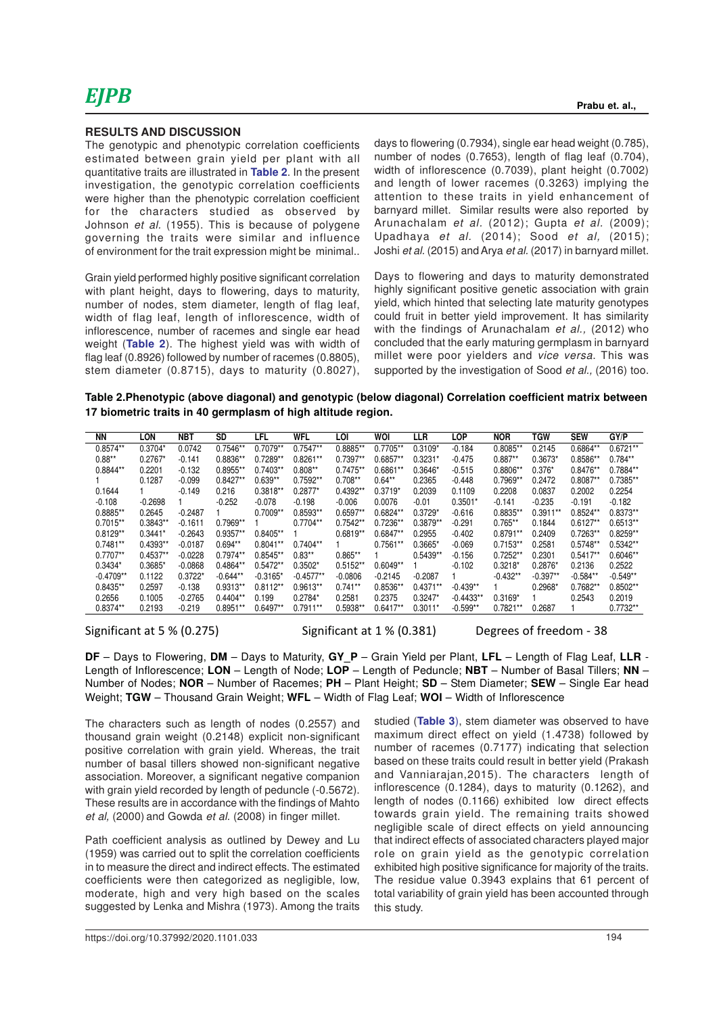The genotypic and phenotypic correlation coefficients estimated between grain yield per plant with all quantitative traits are illustrated in **Table 2**. In the present investigation, the genotypic correlation coefficients were higher than the phenotypic correlation coefficient for the characters studied as observed by Johnson et al. (1955). This is because of polygene governing the traits were similar and influence of environment for the trait expression might be minimal..

Grain yield performed highly positive significant correlation with plant height, days to flowering, days to maturity, number of nodes, stem diameter, length of flag leaf, width of flag leaf, length of inflorescence, width of inflorescence, number of racemes and single ear head weight (**Table 2**). The highest yield was with width of flag leaf (0.8926) followed by number of racemes (0.8805), stem diameter (0.8715), days to maturity (0.8027), days to flowering (0.7934), single ear head weight (0.785), number of nodes (0.7653), length of flag leaf (0.704), width of inflorescence (0.7039), plant height (0.7002) and length of lower racemes (0.3263) implying the attention to these traits in yield enhancement of barnyard millet. Similar results were also reported by Arunachalam et al. (2012); Gupta et al. (2009); Upadhaya et al. (2014); Sood et al, (2015); Joshi et al. (2015) and Arya et al. (2017) in barnyard millet.

Days to flowering and days to maturity demonstrated highly significant positive genetic association with grain yield, which hinted that selecting late maturity genotypes could fruit in better yield improvement. It has similarity with the findings of Arunachalam et al., (2012) who concluded that the early maturing germplasm in barnyard millet were poor yielders and vice versa. This was supported by the investigation of Sood et al., (2016) too.

**Table 2.Phenotypic (above diagonal) and genotypic (below diagonal) Correlation coefficient matrix between 17 biometric traits in 40 germplasm of high altitude region.**

| ΝN          | LON        | NBT       | SD         | LFL        | WFL         | LOI        | WOI        | LLR        | LOP         | <b>NOR</b> | TGW        | <b>SEW</b> | GY/P       |
|-------------|------------|-----------|------------|------------|-------------|------------|------------|------------|-------------|------------|------------|------------|------------|
| $0.8574**$  | $0.3704*$  | 0.0742    | $0.7546**$ | $0.7079**$ | $0.7547**$  | 0.8885**   | $0.7705**$ | $0.3109*$  | $-0.184$    | $0.8085**$ | 0.2145     | $0.6864**$ | $0.6721**$ |
| $0.88**$    | $0.2767*$  | $-0.141$  | 0.8836**   | $0.7289**$ | $0.8261**$  | $0.7397**$ | $0.6857**$ | $0.3231*$  | $-0.475$    | $0.887**$  | $0.3673*$  | $0.8586**$ | $0.784**$  |
| $0.8844**$  | 0.2201     | $-0.132$  | $0.8955**$ | $0.7403**$ | $0.808**$   | $0.7475**$ | $0.6861**$ | $0.3646*$  | $-0.515$    | $0.8806**$ | $0.376*$   | $0.8476**$ | $0.7884**$ |
|             | 0.1287     | $-0.099$  | $0.8427**$ | $0.639**$  | $0.7592**$  | $0.708**$  | $0.64***$  | 0.2365     | $-0.448$    | $0.7969**$ | 0.2472     | $0.8087**$ | 0.7385**   |
| 0.1644      |            | $-0.149$  | 0.216      | $0.3818**$ | $0.2877*$   | $0.4392**$ | $0.3719*$  | 0.2039     | 0.1109      | 0.2208     | 0.0837     | 0.2002     | 0.2254     |
| $-0.108$    | $-0.2698$  |           | $-0.252$   | $-0.078$   | $-0.198$    | $-0.006$   | 0.0076     | $-0.01$    | $0.3501*$   | $-0.141$   | $-0.235$   | $-0.191$   | $-0.182$   |
| 0.8885**    | 0.2645     | $-0.2487$ |            | $0.7009**$ | $0.8593**$  | $0.6597**$ | $0.6824**$ | $0.3729*$  | $-0.616$    | $0.8835**$ | $0.3911**$ | $0.8524**$ | 0.8373**   |
| $0.7015**$  | $0.3843**$ | $-0.1611$ | $0.7969**$ |            | $0.7704**$  | $0.7542**$ | $0.7236**$ | $0.3879**$ | $-0.291$    | $0.765**$  | 0.1844     | $0.6127**$ | $0.6513**$ |
| $0.8129**$  | $0.3441*$  | $-0.2643$ | $0.9357**$ | $0.8405**$ |             | $0.6819**$ | $0.6847**$ | 0.2955     | $-0.402$    | $0.8791**$ | 0.2409     | $0.7263**$ | $0.8259**$ |
| $0.7481**$  | $0.4393**$ | $-0.0187$ | $0.694**$  | $0.8041**$ | $0.7404**$  |            | $0.7561**$ | $0.3665*$  | $-0.069$    | $0.7153**$ | 0.2581     | $0.5748**$ | $0.5342**$ |
| $0.7707**$  | $0.4537**$ | $-0.0228$ | $0.7974**$ | $0.8545**$ | $0.83**$    | $0.865**$  |            | $0.5439**$ | $-0.156$    | $0.7252*$  | 0.2301     | $0.5417**$ | $0.6046**$ |
| $0.3434*$   | 0.3685*    | $-0.0868$ | 0.4864**   | $0.5472**$ | $0.3502*$   | $0.5152**$ | $0.6049**$ |            | $-0.102$    | $0.3218*$  | $0.2876*$  | 0.2136     | 0.2522     |
| $-0.4709**$ | 0.1122     | $0.3722*$ | $-0.644**$ | $-0.3165*$ | $-0.4577**$ | $-0.0806$  | $-0.2145$  | $-0.2087$  |             | $-0.432**$ | $-0.397**$ | $-0.584**$ | $-0.549**$ |
| $0.8435**$  | 0.2597     | $-0.138$  | $0.9313**$ | $0.8112**$ | $0.9613**$  | $0.741**$  | $0.8536**$ | $0.4371**$ | $-0.439**$  |            | $0.2968*$  | $0.7682**$ | $0.8502**$ |
| 0.2656      | 0.1005     | $-0.2765$ | $0.4404**$ | 0.199      | $0.2784*$   | 0.2581     | 0.2375     | $0.3247*$  | $-0.4433**$ | $0.3169*$  |            | 0.2543     | 0.2019     |
| $0.8374**$  | 0.2193     | $-0.219$  | $0.8951**$ | $0.6497**$ | $0.7911**$  | $0.5938**$ | $0.6417**$ | $0.3011*$  | $-0.599**$  | $0.7821**$ | 0.2687     |            | $0.7732**$ |

Significant at 5 % (0.275) Significant at 1 % (0.381) Degrees of freedom - 38

**DF** – Days to Flowering, **DM** – Days to Maturity, **GY\_P** – Grain Yield per Plant, **LFL** – Length of Flag Leaf, **LLR** - Length of Inflorescence; **LON** – Length of Node; **LOP** – Length of Peduncle; **NBT** – Number of Basal Tillers; **NN** – Number of Nodes; **NOR** – Number of Racemes; **PH** – Plant Height; **SD** – Stem Diameter; **SEW** – Single Ear head Weight; **TGW** – Thousand Grain Weight; **WFL** – Width of Flag Leaf; **WOI** – Width of Inflorescence

The characters such as length of nodes (0.2557) and thousand grain weight (0.2148) explicit non-significant positive correlation with grain yield. Whereas, the trait number of basal tillers showed non-significant negative association. Moreover, a significant negative companion with grain yield recorded by length of peduncle (-0.5672). These results are in accordance with the findings of Mahto et al, (2000) and Gowda et al. (2008) in finger millet.

Path coefficient analysis as outlined by Dewey and Lu (1959) was carried out to split the correlation coefficients in to measure the direct and indirect effects. The estimated coefficients were then categorized as negligible, low, moderate, high and very high based on the scales suggested by Lenka and Mishra (1973). Among the traits studied (**Table 3**), stem diameter was observed to have maximum direct effect on yield (1.4738) followed by number of racemes (0.7177) indicating that selection based on these traits could result in better yield (Prakash and Vanniarajan,2015). The characters length of inflorescence (0.1284), days to maturity (0.1262), and length of nodes (0.1166) exhibited low direct effects towards grain yield. The remaining traits showed negligible scale of direct effects on yield announcing that indirect effects of associated characters played major role on grain yield as the genotypic correlation exhibited high positive significance for majority of the traits. The residue value 0.3943 explains that 61 percent of total variability of grain yield has been accounted through this study.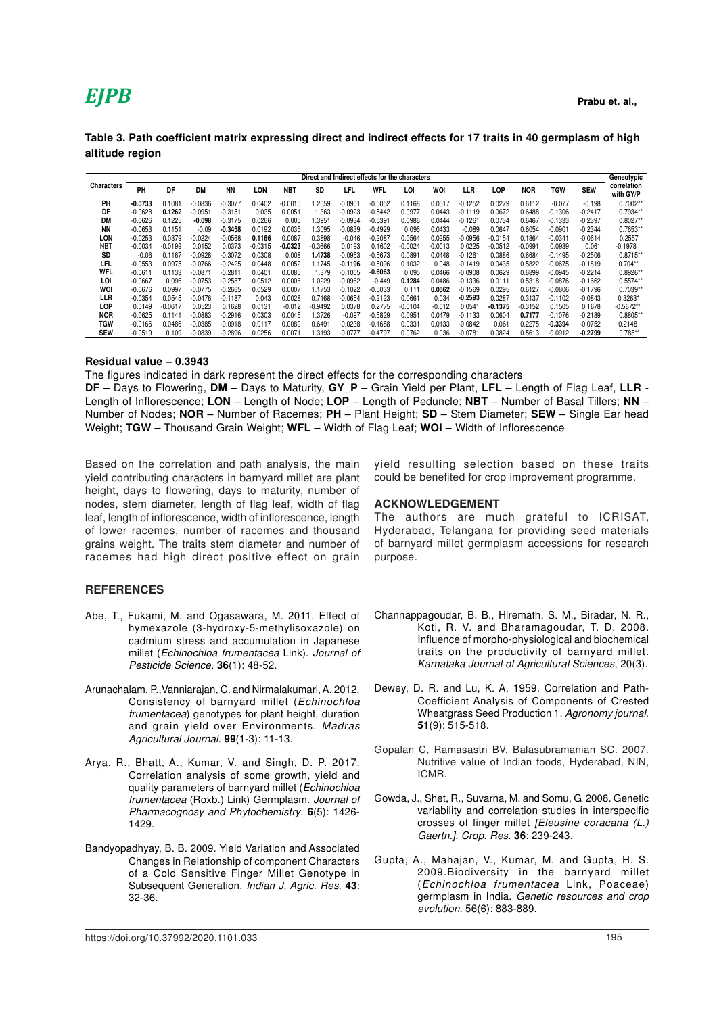## *EJPB* **Prabu et. al.,**

| Table 3. Path coefficient matrix expressing direct and indirect effects for 17 traits in 40 germplasm of high |  |  |
|---------------------------------------------------------------------------------------------------------------|--|--|
| altitude region                                                                                               |  |  |

|                   | Direct and Indirect effects for the characters |           |           |           |           |            |                   |           |            |           |            |           | Geneotypic |            |           |            |                          |
|-------------------|------------------------------------------------|-----------|-----------|-----------|-----------|------------|-------------------|-----------|------------|-----------|------------|-----------|------------|------------|-----------|------------|--------------------------|
| <b>Characters</b> | PH                                             | DF        | <b>DM</b> | <b>NN</b> | LON       | <b>NBT</b> | SD                | LFL       | <b>WFL</b> | LOI       | <b>WOI</b> | LLR       | LOP        | <b>NOR</b> | TGW       | <b>SEW</b> | correlation<br>with GY/P |
| PH                | $-0.0733$                                      | 0.1081    | $-0.0836$ | $-0.3077$ | 0.0402    | $-0.0015$  | .2059             | $-0.0901$ | $-0.5052$  | 0.1168    | 0.0517     | $-0.1252$ | 0.0279     | 0.6112     | $-0.077$  | $-0.198$   | $0.7002**$               |
| DF                | $-0.0628$                                      | 0.1262    | 0.095     | -0.3151   | 0.035     | 0.0051     | .363              | $-0.0923$ | $-0.5442$  | 0.0977    | 0.0443     | $-0.1119$ | 0.0672     | 0.6488     | $-0.1306$ | $-0.2417$  | 0.7934**                 |
| DM                | $-0.0626$                                      | 0.1225    | -0.098    | -0.3175   | 0.0266    | 0.005      | .395 <sup>·</sup> | $-0.0934$ | $-0.5391$  | 0.0986    | 0.0444     | $-0.1261$ | 0.0734     | 0.6467     | $-0.1333$ | $-0.2397$  | $0.8027**$               |
| <b>NN</b>         | $-0.0653$                                      | 0.1151    | $-0.09$   | $-0.3458$ | 0.0192    | 0.0035     | .3095             | $-0.0839$ | $-0.4929$  | 0.096     | 0.0433     | $-0.089$  | 0.0647     | 0.6054     | $-0.0901$ | $-0.2344$  | 0.7653**                 |
| LON               | $-0.0253$                                      | 0.0379    | $-0.0224$ | $-0.0568$ | 0.1166    | 0.0087     | 0.3898            | $-0.046$  | $-0.2087$  | 0.0564    | 0.0255     | $-0.0956$ | $-0.0154$  | 0.1864     | $-0.0341$ | $-0.0614$  | 0.2557                   |
| NB <sub>1</sub>   | $-0.0034$                                      | $-0.0199$ | 0.0152    | 0.0373    | $-0.0315$ | $-0.0323$  | $-0.3666$         | 0.0193    | 0.1602     | $-0.0024$ | $-0.0013$  | 0.0225    | $-0.0512$  | $-0.0991$  | 0.0939    | 0.061      | $-0.1978$                |
| <b>SD</b>         | $-0.06$                                        | 0.1167    | $-0.0928$ | -0.3072   | 0.0308    | 0.008      | .4738             | $-0.0953$ | $-0.5673$  | 0.0891    | 0.0448     | $-0.1261$ | 0.0886     | 0.6684     | $-0.1495$ | $-0.2506$  | $0.8715**$               |
| LFL               | $-0.0553$                                      | 0.0975    | $-0.0766$ | $-0.2425$ | 0.0448    | 0.0052     | .1745             | $-0.1196$ | $-0.5096$  | 0.1032    | 0.048      | $-0.1419$ | 0.0435     | 0.5822     | $-0.0675$ | $-0.1819$  | $0.704**$                |
| <b>WFL</b>        | $-0.0611$                                      | 0.1133    | $-0.087$  | $-0.2811$ | 0.0401    | 0.0085     | .379              | $-0.1005$ | -0.6063    | 0.095     | 0.0466     | $-0.0908$ | 0.0629     | 0.6899     | $-0.0945$ | $-0.2214$  | 0.8926**                 |
| LOI               | $-0.0667$                                      | 0.096     | $-0.0753$ | $-0.2587$ | 0.0512    | 0.0006     | .0229             | $-0.0962$ | $-0.449$   | 0.1284    | 0.0486     | $-0.1336$ | 0.0111     | 0.5318     | $-0.0876$ | $-0.1662$  | $0.5574**$               |
| WOI               | $-0.0676$                                      | 0.0997    | $-0.0775$ | $-0.2665$ | 0.0529    | 0.0007     | .1753             | $-0.1022$ | $-0.5033$  | 0.111     | 0.0562     | $-0.1569$ | 0.0295     | 0.6127     | $-0.0806$ | $-0.1796$  | $0.7039**$               |
| LLR               | $-0.0354$                                      | 0.0545    | $-0.0476$ | $-0.1187$ | 0.043     | 0.0028     | 0.7168            | $-0.0654$ | $-0.2123$  | 0.0661    | 0.034      | $-0.2593$ | 0.0287     | 0.3137     | $-0.1102$ | $-0.0843$  | $0.3263*$                |
| LOP               | 0.0149                                         | $-0.0617$ | 0.0523    | 0.1628    | 0.0131    | $-0.012$   | $-0.9492$         | 0.0378    | 0.2775     | $-0.0104$ | $-0.012$   | 0.0541    | -0.1375    | $-0.3152$  | 0.1505    | 0.1678     | $-0.5672**$              |
| <b>NOR</b>        | $-0.0625$                                      | 0.1141    | $-0.0883$ | $-0.2916$ | 0.0303    | 0.0045     | .3726             | $-0.097$  | $-0.5829$  | 0.0951    | 0.0479     | $-0.1133$ | 0.0604     | 0.7177     | $-0.1076$ | $-0.2189$  | 0.8805**                 |
| TGW               | $-0.0166$                                      | 0.0486    | $-0.0385$ | $-0.0918$ | 0.0117    | 0.0089     | 0.649             | $-0.0238$ | $-0.1688$  | 0.0331    | 0.0133     | $-0.0842$ | 0.061      | 0.2275     | $-0.3394$ | $-0.0752$  | 0.2148                   |
| <b>SEW</b>        | $-0.0519$                                      | 0.109     | $-0.0839$ | $-0.2896$ | 0.0256    | 0.0071     | .3193             | $-0.0777$ | $-0.4797$  | 0.0762    | 0.036      | $-0.0781$ | 0.0824     | 0.5613     | $-0.0912$ | $-0.2799$  | $0.785**$                |

#### **Residual value – 0.3943**

The figures indicated in dark represent the direct effects for the corresponding characters

**DF** – Days to Flowering, **DM** – Days to Maturity, **GY\_P** – Grain Yield per Plant, **LFL** – Length of Flag Leaf, **LLR** - Length of Inflorescence; **LON** – Length of Node; **LOP** – Length of Peduncle; **NBT** – Number of Basal Tillers; **NN** – Number of Nodes; **NOR** – Number of Racemes; **PH** – Plant Height; **SD** – Stem Diameter; **SEW** – Single Ear head Weight; **TGW** – Thousand Grain Weight; **WFL** – Width of Flag Leaf; **WOI** – Width of Inflorescence

Based on the correlation and path analysis, the main yield contributing characters in barnyard millet are plant height, days to flowering, days to maturity, number of nodes, stem diameter, length of flag leaf, width of flag leaf, length of inflorescence, width of inflorescence, length of lower racemes, number of racemes and thousand grains weight. The traits stem diameter and number of racemes had high direct positive effect on grain

#### **REFERENCES**

- Abe, T., Fukami, M. and Ogasawara, M. 2011. Effect of hymexazole (3-hydroxy-5-methylisoxazole) on cadmium stress and accumulation in Japanese millet (Echinochloa frumentacea Link). Journal of Pesticide Science. **36**(1): 48-52.
- Arunachalam, P.,Vanniarajan, C. and Nirmalakumari, A. 2012. Consistency of barnyard millet (Echinochloa frumentacea) genotypes for plant height, duration and grain yield over Environments. Madras Agricultural Journal. **99**(1-3): 11-13.
- Arya, R., Bhatt, A., Kumar, V. and Singh, D. P. 2017. Correlation analysis of some growth, yield and quality parameters of barnyard millet (Echinochloa frumentacea (Roxb.) Link) Germplasm. Journal of Pharmacognosy and Phytochemistry. **6**(5): 1426- 1429.
- Bandyopadhyay, B. B. 2009. Yield Variation and Associated Changes in Relationship of component Characters of a Cold Sensitive Finger Millet Genotype in Subsequent Generation. Indian J. Agric. Res. **43**: 32-36.

yield resulting selection based on these traits could be benefited for crop improvement programme.

#### **ACKNOWLEDGEMENT**

The authors are much grateful to ICRISAT, Hyderabad, Telangana for providing seed materials of barnyard millet germplasm accessions for research purpose.

- Channappagoudar, B. B., Hiremath, S. M., Biradar, N. R., Koti, R. V. and Bharamagoudar, T. D. 2008. Influence of morpho-physiological and biochemical traits on the productivity of barnyard millet. Karnataka Journal of Agricultural Sciences, 20(3).
- Dewey, D. R. and Lu, K. A. 1959. Correlation and Path-Coefficient Analysis of Components of Crested Wheatgrass Seed Production 1. Agronomy journal. **51**(9): 515-518.
- Gopalan C, Ramasastri BV, Balasubramanian SC. 2007. Nutritive value of Indian foods, Hyderabad, NIN, ICMR.
- Gowda, J., Shet, R., Suvarna, M. and Somu, G. 2008. Genetic variability and correlation studies in interspecific crosses of finger millet [Eleusine coracana (L.) Gaertn.]. Crop. Res. **36**: 239-243.
- Gupta, A., Mahajan, V., Kumar, M. and Gupta, H. S. 2009.Biodiversity in the barnyard millet (Echinochloa frumentacea Link, Poaceae) germplasm in India. Genetic resources and crop evolution. 56(6): 883-889.